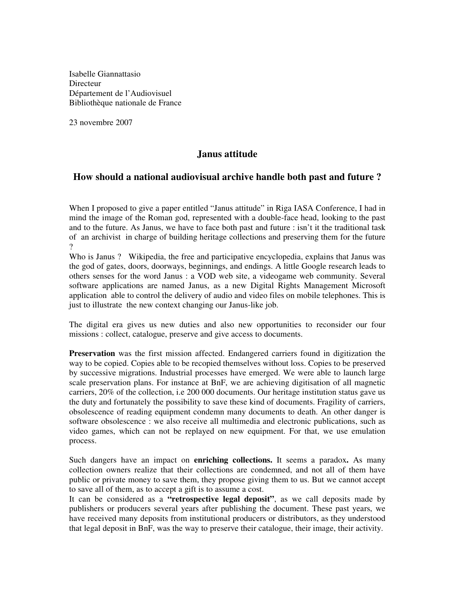Isabelle Giannattasio **Directeur** Département de l'Audiovisuel Bibliothèque nationale de France

23 novembre 2007

## **Janus attitude**

## **How should a national audiovisual archive handle both past and future ?**

When I proposed to give a paper entitled "Janus attitude" in Riga IASA Conference, I had in mind the image of the Roman god, represented with a double-face head, looking to the past and to the future. As Janus, we have to face both past and future : isn't it the traditional task of an archivist in charge of building heritage collections and preserving them for the future  $\gamma$ 

Who is Janus ? Wikipedia, the free and participative encyclopedia, explains that Janus was the god of gates, doors, doorways, beginnings, and endings. A little Google research leads to others senses for the word Janus : a VOD web site, a videogame web community. Several software applications are named Janus, as a new Digital Rights Management Microsoft application able to control the delivery of audio and video files on mobile telephones. This is just to illustrate the new context changing our Janus-like job.

The digital era gives us new duties and also new opportunities to reconsider our four missions : collect, catalogue, preserve and give access to documents.

**Preservation** was the first mission affected. Endangered carriers found in digitization the way to be copied. Copies able to be recopied themselves without loss. Copies to be preserved by successive migrations. Industrial processes have emerged. We were able to launch large scale preservation plans. For instance at BnF, we are achieving digitisation of all magnetic carriers, 20% of the collection, i.e 200 000 documents. Our heritage institution status gave us the duty and fortunately the possibility to save these kind of documents. Fragility of carriers, obsolescence of reading equipment condemn many documents to death. An other danger is software obsolescence : we also receive all multimedia and electronic publications, such as video games, which can not be replayed on new equipment. For that, we use emulation process.

Such dangers have an impact on **enriching collections.** It seems a paradox**.** As many collection owners realize that their collections are condemned, and not all of them have public or private money to save them, they propose giving them to us. But we cannot accept to save all of them, as to accept a gift is to assume a cost.

It can be considered as a **"retrospective legal deposit"**, as we call deposits made by publishers or producers several years after publishing the document. These past years, we have received many deposits from institutional producers or distributors, as they understood that legal deposit in BnF, was the way to preserve their catalogue, their image, their activity.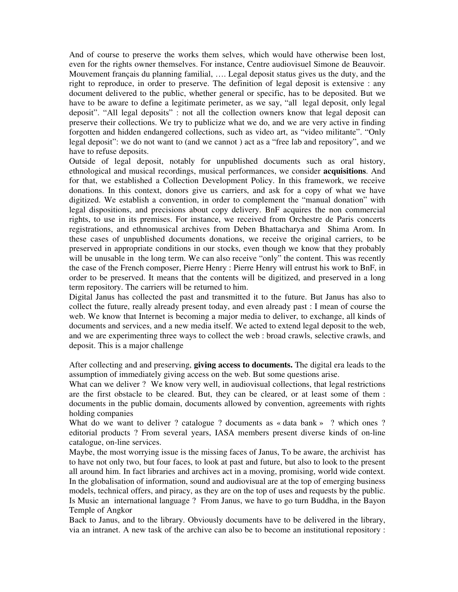And of course to preserve the works them selves, which would have otherwise been lost, even for the rights owner themselves. For instance, Centre audiovisuel Simone de Beauvoir. Mouvement français du planning familial, …. Legal deposit status gives us the duty, and the right to reproduce, in order to preserve. The definition of legal deposit is extensive : any document delivered to the public, whether general or specific, has to be deposited. But we have to be aware to define a legitimate perimeter, as we say, "all legal deposit, only legal deposit". "All legal deposits" : not all the collection owners know that legal deposit can preserve their collections. We try to publicize what we do, and we are very active in finding forgotten and hidden endangered collections, such as video art, as "video militante". "Only legal deposit": we do not want to (and we cannot ) act as a "free lab and repository", and we have to refuse deposits.

Outside of legal deposit, notably for unpublished documents such as oral history, ethnological and musical recordings, musical performances, we consider **acquisitions**. And for that, we established a Collection Development Policy. In this framework, we receive donations. In this context, donors give us carriers, and ask for a copy of what we have digitized. We establish a convention, in order to complement the "manual donation" with legal dispositions, and precisions about copy delivery. BnF acquires the non commercial rights, to use in its premises. For instance, we received from Orchestre de Paris concerts registrations, and ethnomusical archives from Deben Bhattacharya and Shima Arom. In these cases of unpublished documents donations, we receive the original carriers, to be preserved in appropriate conditions in our stocks, even though we know that they probably will be unusable in the long term. We can also receive "only" the content. This was recently the case of the French composer, Pierre Henry : Pierre Henry will entrust his work to BnF, in order to be preserved. It means that the contents will be digitized, and preserved in a long term repository. The carriers will be returned to him.

Digital Janus has collected the past and transmitted it to the future. But Janus has also to collect the future, really already present today, and even already past : I mean of course the web. We know that Internet is becoming a major media to deliver, to exchange, all kinds of documents and services, and a new media itself. We acted to extend legal deposit to the web, and we are experimenting three ways to collect the web : broad crawls, selective crawls, and deposit. This is a major challenge

After collecting and and preserving, **giving access to documents.** The digital era leads to the assumption of immediately giving access on the web. But some questions arise.

What can we deliver ? We know very well, in audiovisual collections, that legal restrictions are the first obstacle to be cleared. But, they can be cleared, or at least some of them : documents in the public domain, documents allowed by convention, agreements with rights holding companies

What do we want to deliver ? catalogue ? documents as « data bank » ? which ones ? editorial products ? From several years, IASA members present diverse kinds of on-line catalogue, on-line services.

Maybe, the most worrying issue is the missing faces of Janus, To be aware, the archivist has to have not only two, but four faces, to look at past and future, but also to look to the present all around him. In fact libraries and archives act in a moving, promising, world wide context. In the globalisation of information, sound and audiovisual are at the top of emerging business models, technical offers, and piracy, as they are on the top of uses and requests by the public. Is Music an international language ? From Janus, we have to go turn Buddha, in the Bayon Temple of Angkor

Back to Janus, and to the library. Obviously documents have to be delivered in the library, via an intranet. A new task of the archive can also be to become an institutional repository :